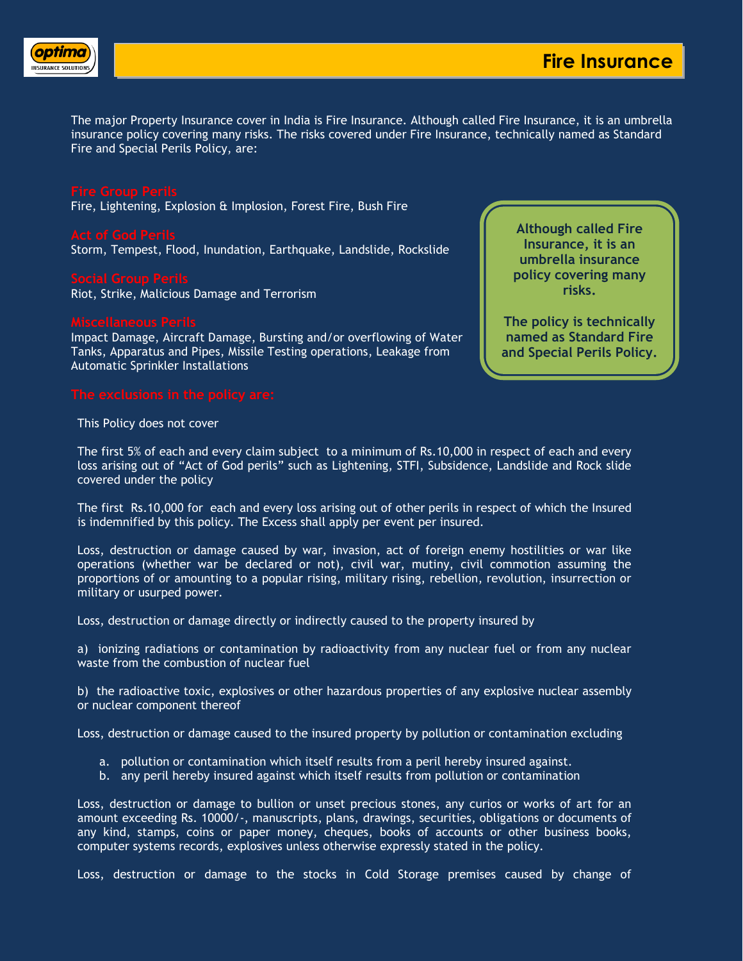

The major Property Insurance cover in India is Fire Insurance. Although called Fire Insurance, it is an umbrella insurance policy covering many risks. The risks covered under Fire Insurance, technically named as Standard Fire and Special Perils Policy, are:

Fire, Lightening, Explosion & Implosion, Forest Fire, Bush Fire

Storm, Tempest, Flood, Inundation, Earthquake, Landslide, Rockslide

Riot, Strike, Malicious Damage and Terrorism

Impact Damage, Aircraft Damage, Bursting and/or overflowing of Water Tanks, Apparatus and Pipes, Missile Testing operations, Leakage from Automatic Sprinkler Installations

**Although called Fire Insurance, it is an umbrella insurance policy covering many risks.**

**The policy is technically named as Standard Fire and Special Perils Policy.**

This Policy does not cover

The first 5% of each and every claim subject to a minimum of Rs.10,000 in respect of each and every loss arising out of "Act of God perils" such as Lightening, STFI, Subsidence, Landslide and Rock slide covered under the policy

The first Rs.10,000 for each and every loss arising out of other perils in respect of which the Insured is indemnified by this policy. The Excess shall apply per event per insured.

Loss, destruction or damage caused by war, invasion, act of foreign enemy hostilities or war like operations (whether war be declared or not), civil war, mutiny, civil commotion assuming the proportions of or amounting to a popular rising, military rising, rebellion, revolution, insurrection or military or usurped power.

Loss, destruction or damage directly or indirectly caused to the property insured by

a) ionizing radiations or contamination by radioactivity from any nuclear fuel or from any nuclear waste from the combustion of nuclear fuel

b) the radioactive toxic, explosives or other hazardous properties of any explosive nuclear assembly or nuclear component thereof

Loss, destruction or damage caused to the insured property by pollution or contamination excluding

- a. pollution or contamination which itself results from a peril hereby insured against.
- b. any peril hereby insured against which itself results from pollution or contamination

Loss, destruction or damage to bullion or unset precious stones, any curios or works of art for an amount exceeding Rs. 10000/-, manuscripts, plans, drawings, securities, obligations or documents of any kind, stamps, coins or paper money, cheques, books of accounts or other business books, computer systems records, explosives unless otherwise expressly stated in the policy.

Loss, destruction or damage to the stocks in Cold Storage premises caused by change of